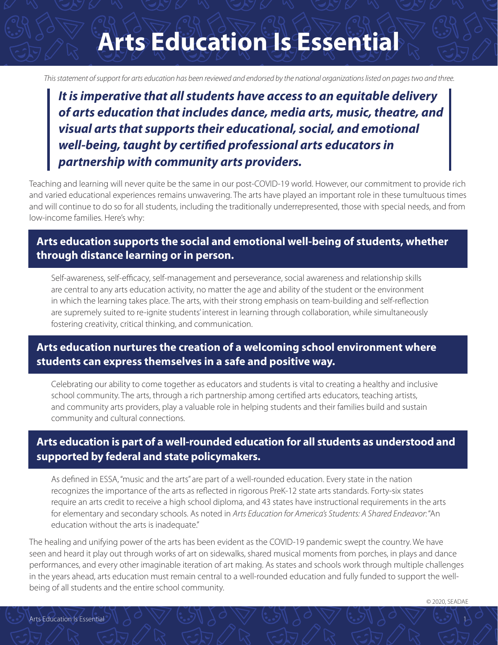## **Arts Education Is Essential**

*This statement of support for arts education has been reviewed and endorsed by the national organizations listed on pages two and three.* 

*It is imperative that all students have access to an equitable delivery of arts education that includes dance, media arts, music, theatre, and visual arts that supports their educational, social, and emotional well-being, taught by certified professional arts educators in partnership with community arts providers.*

Teaching and learning will never quite be the same in our post-COVID-19 world. However, our commitment to provide rich and varied educational experiences remains unwavering. The arts have played an important role in these tumultuous times and will continue to do so for all students, including the traditionally underrepresented, those with special needs, and from low-income families. Here's why:

### **Arts education supports the social and emotional well-being of students, whether through distance learning or in person.**

Self-awareness, self-efficacy, self-management and perseverance, social awareness and relationship skills are central to any arts education activity, no matter the age and ability of the student or the environment in which the learning takes place. The arts, with their strong emphasis on team-building and self-reflection are supremely suited to re-ignite students' interest in learning through collaboration, while simultaneously fostering creativity, critical thinking, and communication.

### **Arts education nurtures the creation of a welcoming school environment where students can express themselves in a safe and positive way.**

Celebrating our ability to come together as educators and students is vital to creating a healthy and inclusive school community. The arts, through a rich partnership among certified arts educators, teaching artists, and community arts providers, play a valuable role in helping students and their families build and sustain community and cultural connections.

### **Arts education is part of a well-rounded education for all students as understood and supported by federal and state policymakers.**

As defined in ESSA, "music and the arts" are part of a well-rounded education. Every state in the nation recognizes the importance of the arts as reflected in rigorous PreK-12 state arts standards. Forty-six states require an arts credit to receive a high school diploma, and 43 states have instructional requirements in the arts for elementary and secondary schools. As noted in *Arts Education for America's Students: A Shared Endeavor*: "An education without the arts is inadequate."

The healing and unifying power of the arts has been evident as the COVID-19 pandemic swept the country. We have seen and heard it play out through works of art on sidewalks, shared musical moments from porches, in plays and dance performances, and every other imaginable iteration of art making. As states and schools work through multiple challenges in the years ahead, arts education must remain central to a well-rounded education and fully funded to support the wellbeing of all students and the entire school community.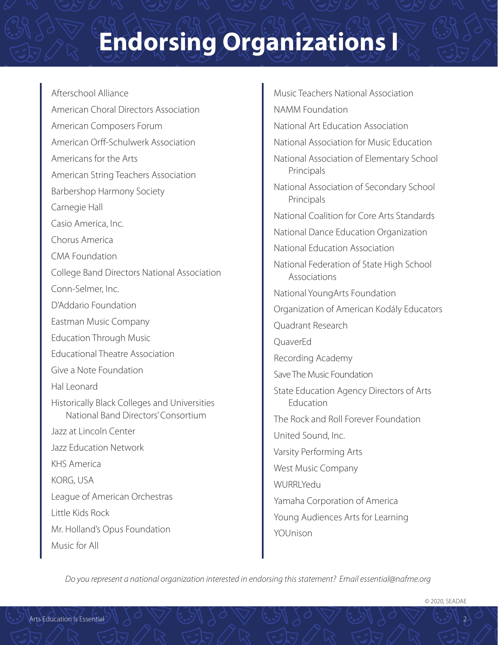# **Endorsing Organizations I**

#### Afterschool Alliance

American Choral Directors Association American Composers Forum American Orff-Schulwerk Association Americans for the Arts American String Teachers Association Barbershop Harmony Society Carnegie Hall Casio America, Inc. Chorus America CMA Foundation College Band Directors National Association Conn-Selmer, Inc. D'Addario Foundation Eastman Music Company Education Through Music Educational Theatre Association Give a Note Foundation Hal Leonard

Historically Black Colleges and Universities National Band Directors' Consortium

Jazz at Lincoln Center

Jazz Education Network

KHS America

KORG, USA

League of American Orchestras

Little Kids Rock

Mr. Holland's Opus Foundation

Music for All

Music Teachers National Association NAMM Foundation National Art Education Association National Association for Music Education National Association of Elementary School Principals National Association of Secondary School Principals National Coalition for Core Arts Standards National Dance Education Organization National Education Association National Federation of State High School Associations National YoungArts Foundation Organization of American Kodály Educators Quadrant Research QuaverEd Recording Academy Save The Music Foundation State Education Agency Directors of Arts Education The Rock and Roll Forever Foundation United Sound, Inc. Varsity Performing Arts West Music Company WURRLYedu Yamaha Corporation of America Young Audiences Arts for Learning

*Do you represent a national organization interested in endorsing this statement? Email essential@nafme.org*

YOUnison

© 2020, SEADAE